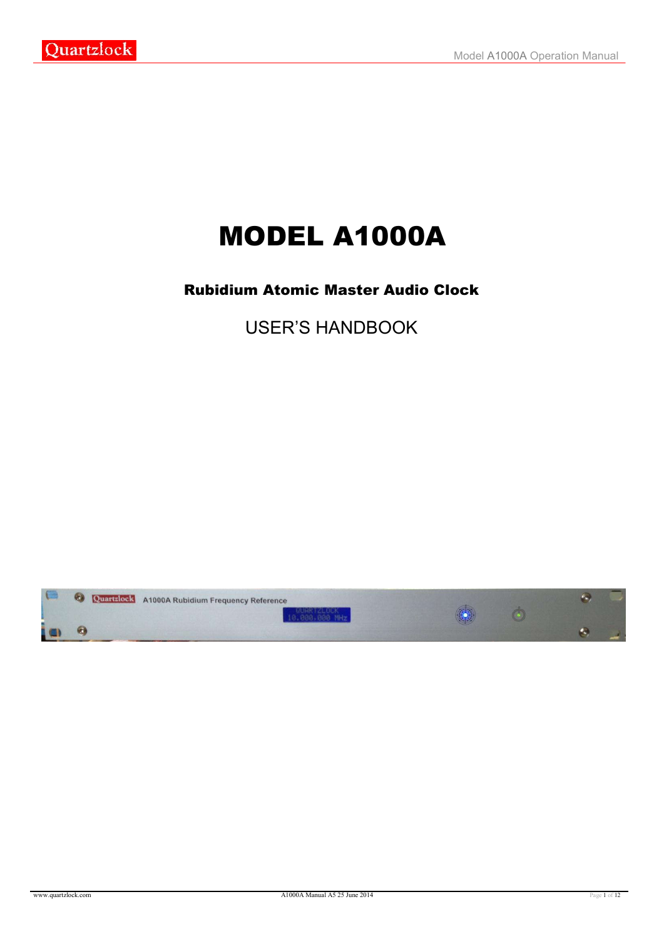

# MODEL A1000A

# Rubidium Atomic Master Audio Clock

USER'S HANDBOOK

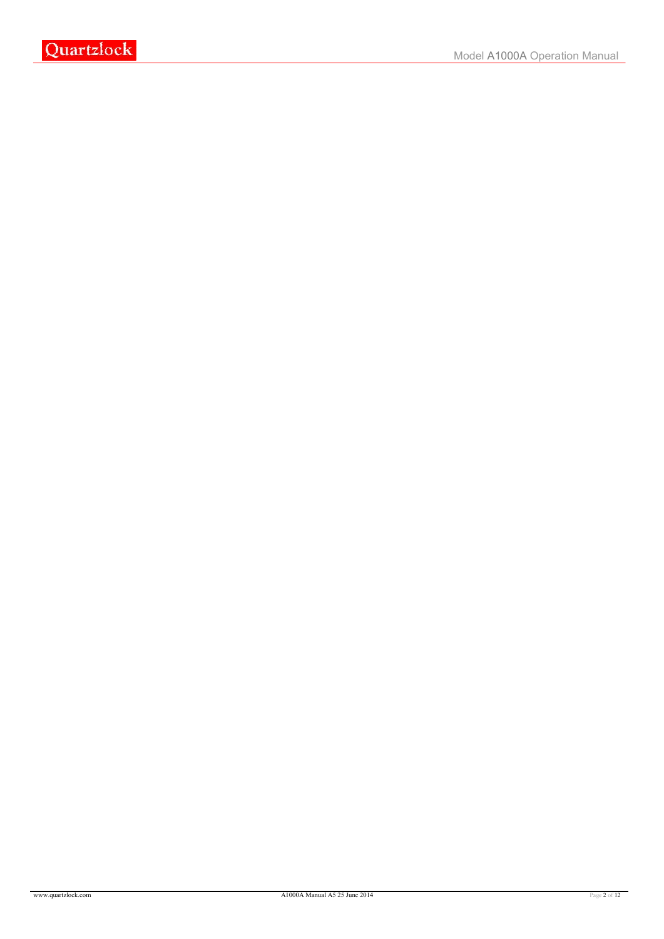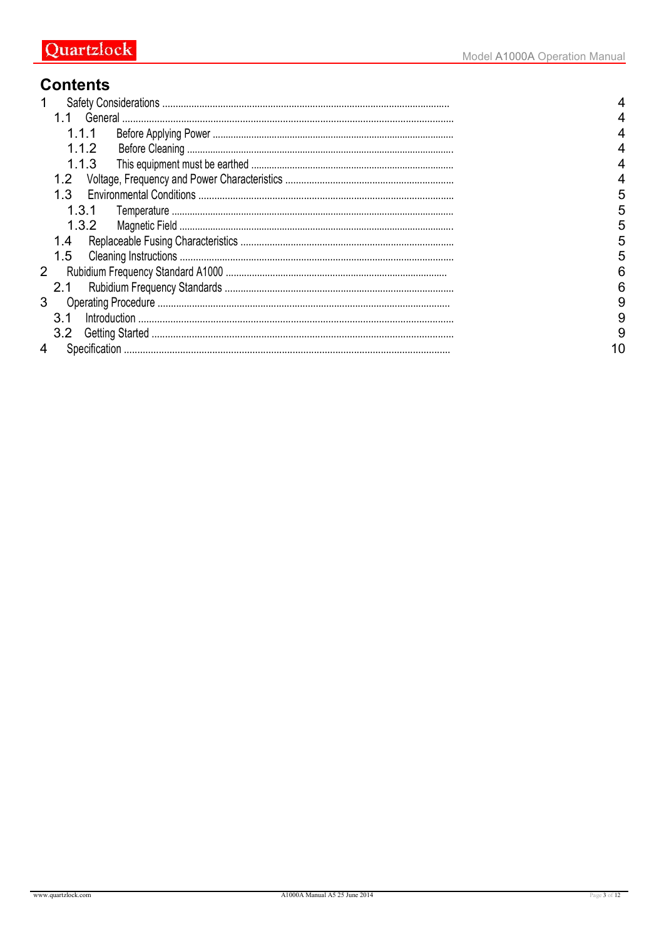# **Contents**

| General |    |
|---------|----|
| 1.1.1   |    |
| 1.1.2   |    |
| 1.1.3   |    |
| 1.2     |    |
| 13      | 5  |
| 1,3.1   | 5  |
| 1.3.2   | 5  |
|         | 5  |
|         | 5  |
|         |    |
| 2.1     |    |
| 3.      |    |
| 3 1     |    |
|         |    |
|         | 10 |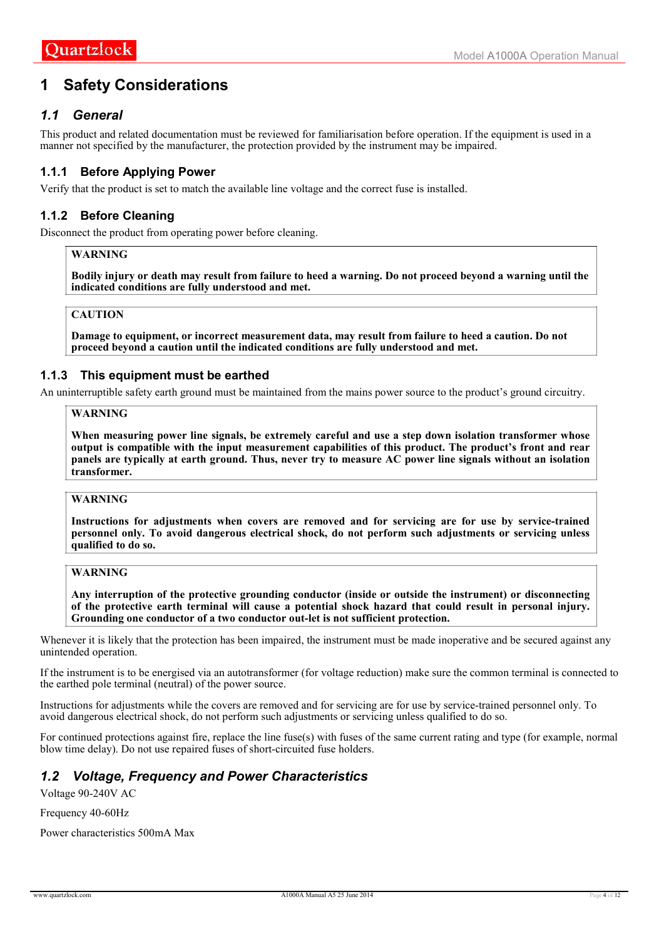# **1 Safety Considerations**

## *1.1 General*

This product and related documentation must be reviewed for familiarisation before operation. If the equipment is used in a manner not specified by the manufacturer, the protection provided by the instrument may be impaired.

#### **1.1.1 Before Applying Power**

Verify that the product is set to match the available line voltage and the correct fuse is installed.

#### **1.1.2 Before Cleaning**

Disconnect the product from operating power before cleaning.

#### **WARNING**

**Bodily injury or death may result from failure to heed a warning. Do not proceed beyond a warning until the indicated conditions are fully understood and met.**

#### **CAUTION**

**Damage to equipment, or incorrect measurement data, may result from failure to heed a caution. Do not proceed beyond a caution until the indicated conditions are fully understood and met.**

#### **1.1.3 This equipment must be earthed**

An uninterruptible safety earth ground must be maintained from the mains power source to the product's ground circuitry.

#### **WARNING**

**When measuring power line signals, be extremely careful and use a step down isolation transformer whose output is compatible with the input measurement capabilities of this product. The product's front and rear panels are typically at earth ground. Thus, never try to measure AC power line signals without an isolation transformer.**

#### **WARNING**

**Instructions for adjustments when covers are removed and for servicing are for use by service-trained personnel only. To avoid dangerous electrical shock, do not perform such adjustments or servicing unless qualified to do so.**

#### **WARNING**

**Any interruption of the protective grounding conductor (inside or outside the instrument) or disconnecting of the protective earth terminal will cause a potential shock hazard that could result in personal injury. Grounding one conductor of a two conductor out-let is not sufficient protection.**

Whenever it is likely that the protection has been impaired, the instrument must be made inoperative and be secured against any unintended operation.

If the instrument is to be energised via an autotransformer (for voltage reduction) make sure the common terminal is connected to the earthed pole terminal (neutral) of the power source.

Instructions for adjustments while the covers are removed and for servicing are for use by service-trained personnel only. To avoid dangerous electrical shock, do not perform such adjustments or servicing unless qualified to do so.

For continued protections against fire, replace the line fuse(s) with fuses of the same current rating and type (for example, normal blow time delay). Do not use repaired fuses of short-circuited fuse holders.

#### *1.2 Voltage, Frequency and Power Characteristics*

Voltage 90-240V AC

Frequency 40-60Hz

Power characteristics 500mA Max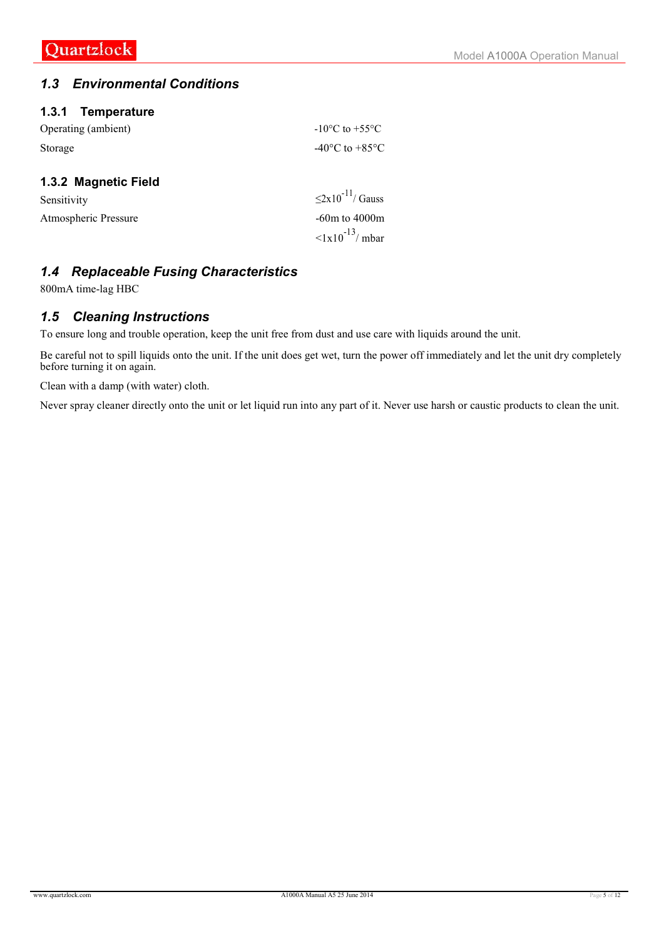## *1.3 Environmental Conditions*

#### **1.3.1 Temperature**

| Sensitivity          | $\leq$ 2x10 <sup>-11</sup> / Gauss   |
|----------------------|--------------------------------------|
| 1.3.2 Magnetic Field |                                      |
| Storage              | -40 $^{\circ}$ C to +85 $^{\circ}$ C |
| Operating (ambient)  | $-10^{\circ}$ C to $+55^{\circ}$ C   |

| Sensitivity          | $\leq$ 2X10 / Gauss       |
|----------------------|---------------------------|
| Atmospheric Pressure | $-60m$ to $4000m$         |
|                      | $\langle 1x10^{-13}/mbar$ |

## *1.4 Replaceable Fusing Characteristics*

800mA time-lag HBC

## *1.5 Cleaning Instructions*

To ensure long and trouble operation, keep the unit free from dust and use care with liquids around the unit.

Be careful not to spill liquids onto the unit. If the unit does get wet, turn the power off immediately and let the unit dry completely before turning it on again.

Clean with a damp (with water) cloth.

Never spray cleaner directly onto the unit or let liquid run into any part of it. Never use harsh or caustic products to clean the unit.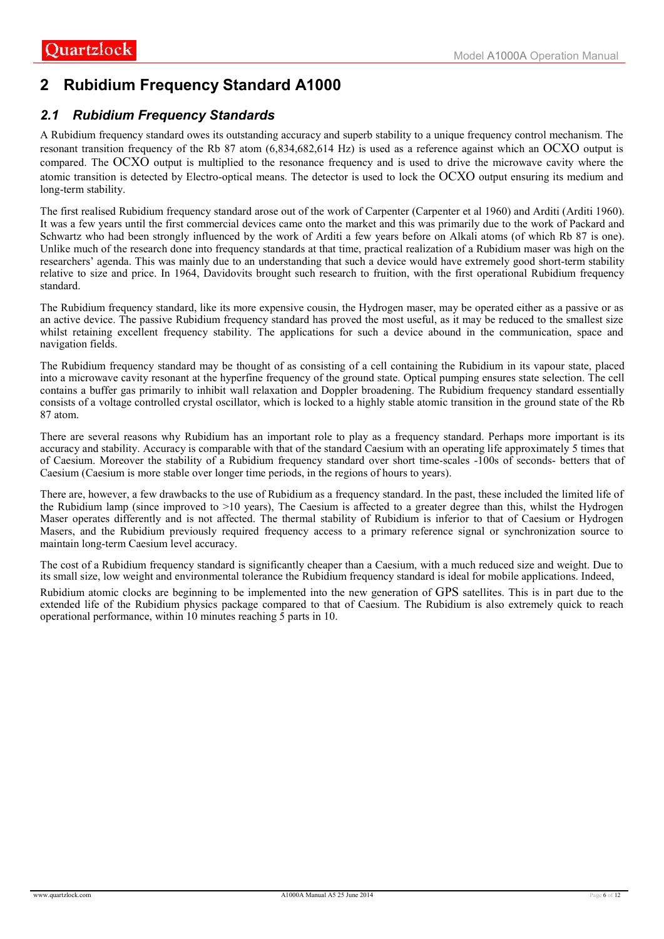# **2 Rubidium Frequency Standard A1000**

## *2.1 Rubidium Frequency Standards*

A Rubidium frequency standard owes its outstanding accuracy and superb stability to a unique frequency control mechanism. The resonant transition frequency of the Rb 87 atom (6,834,682,614 Hz) is used as a reference against which an OCXO output is compared. The OCXO output is multiplied to the resonance frequency and is used to drive the microwave cavity where the atomic transition is detected by Electro-optical means. The detector is used to lock the OCXO output ensuring its medium and long-term stability.

The first realised Rubidium frequency standard arose out of the work of Carpenter (Carpenter et al 1960) and Arditi (Arditi 1960). It was a few years until the first commercial devices came onto the market and this was primarily due to the work of Packard and Schwartz who had been strongly influenced by the work of Arditi a few years before on Alkali atoms (of which Rb 87 is one). Unlike much of the research done into frequency standards at that time, practical realization of a Rubidium maser was high on the researchers' agenda. This was mainly due to an understanding that such a device would have extremely good short-term stability relative to size and price. In 1964, Davidovits brought such research to fruition, with the first operational Rubidium frequency standard.

The Rubidium frequency standard, like its more expensive cousin, the Hydrogen maser, may be operated either as a passive or as an active device. The passive Rubidium frequency standard has proved the most useful, as it may be reduced to the smallest size whilst retaining excellent frequency stability. The applications for such a device abound in the communication, space and navigation fields.

The Rubidium frequency standard may be thought of as consisting of a cell containing the Rubidium in its vapour state, placed into a microwave cavity resonant at the hyperfine frequency of the ground state. Optical pumping ensures state selection. The cell contains a buffer gas primarily to inhibit wall relaxation and Doppler broadening. The Rubidium frequency standard essentially consists of a voltage controlled crystal oscillator, which is locked to a highly stable atomic transition in the ground state of the Rb 87 atom.

There are several reasons why Rubidium has an important role to play as a frequency standard. Perhaps more important is its accuracy and stability. Accuracy is comparable with that of the standard Caesium with an operating life approximately 5 times that of Caesium. Moreover the stability of a Rubidium frequency standard over short time-scales -100s of seconds- betters that of Caesium (Caesium is more stable over longer time periods, in the regions of hours to years).

There are, however, a few drawbacks to the use of Rubidium as a frequency standard. In the past, these included the limited life of the Rubidium lamp (since improved to >10 years), The Caesium is affected to a greater degree than this, whilst the Hydrogen Maser operates differently and is not affected. The thermal stability of Rubidium is inferior to that of Caesium or Hydrogen Masers, and the Rubidium previously required frequency access to a primary reference signal or synchronization source to maintain long-term Caesium level accuracy.

The cost of a Rubidium frequency standard is significantly cheaper than a Caesium, with a much reduced size and weight. Due to its small size, low weight and environmental tolerance the Rubidium frequency standard is ideal for mobile applications. Indeed,

Rubidium atomic clocks are beginning to be implemented into the new generation of GPS satellites. This is in part due to the extended life of the Rubidium physics package compared to that of Caesium. The Rubidium is also extremely quick to reach operational performance, within 10 minutes reaching 5 parts in 10.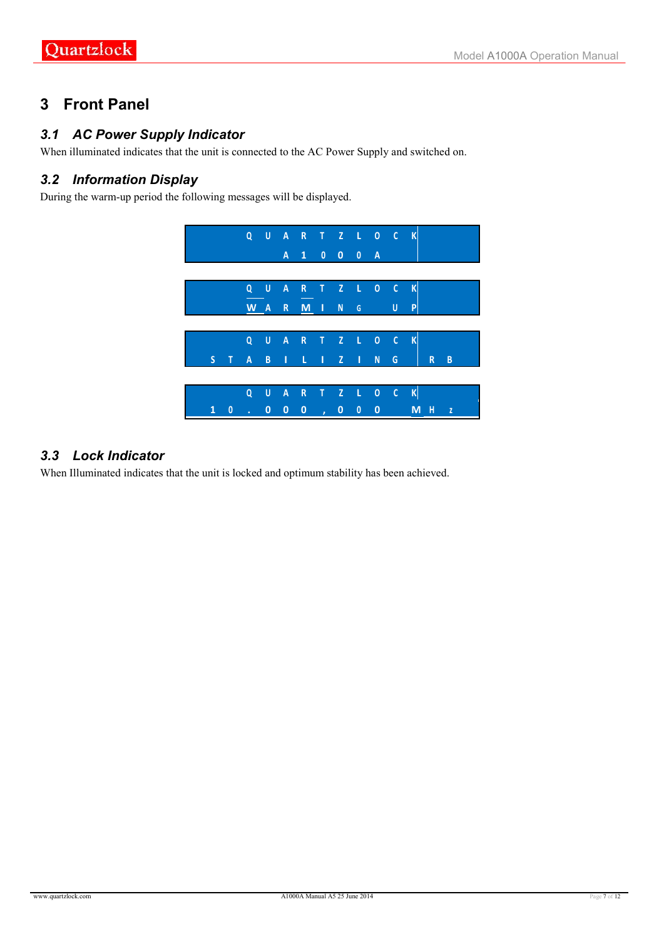# **3 Front Panel**

## *3.1 AC Power Supply Indicator*

When illuminated indicates that the unit is connected to the AC Power Supply and switched on.

## *3.2 Information Display*

During the warm-up period the following messages will be displayed.



#### *3.3 Lock Indicator*

When Illuminated indicates that the unit is locked and optimum stability has been achieved.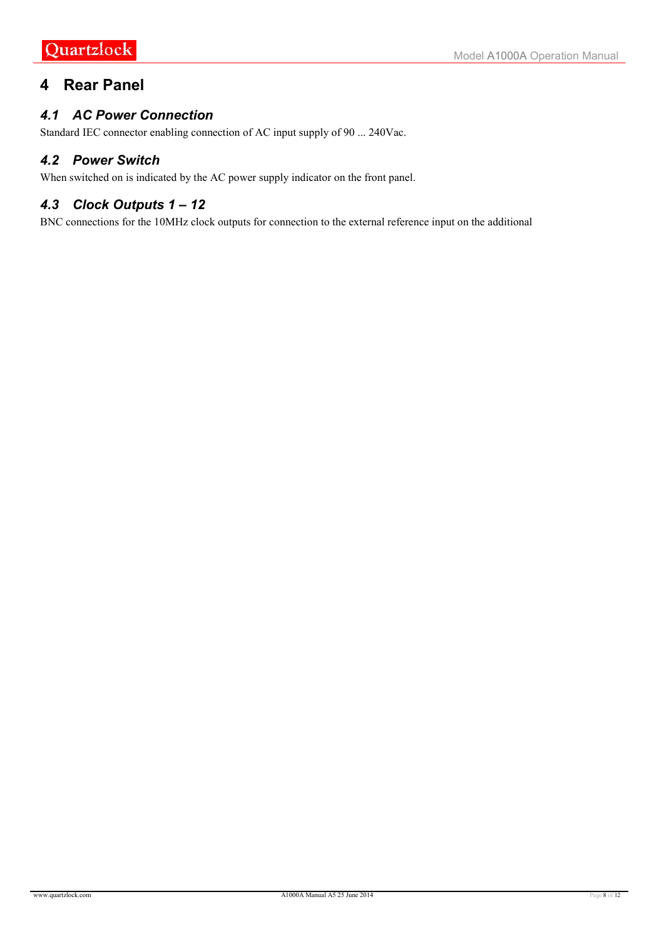# **4 Rear Panel**

## *4.1 AC Power Connection*

Standard IEC connector enabling connection of AC input supply of 90 ... 240Vac.

#### *4.2 Power Switch*

When switched on is indicated by the AC power supply indicator on the front panel.

## *4.3 Clock Outputs 1 – 12*

BNC connections for the 10MHz clock outputs for connection to the external reference input on the additional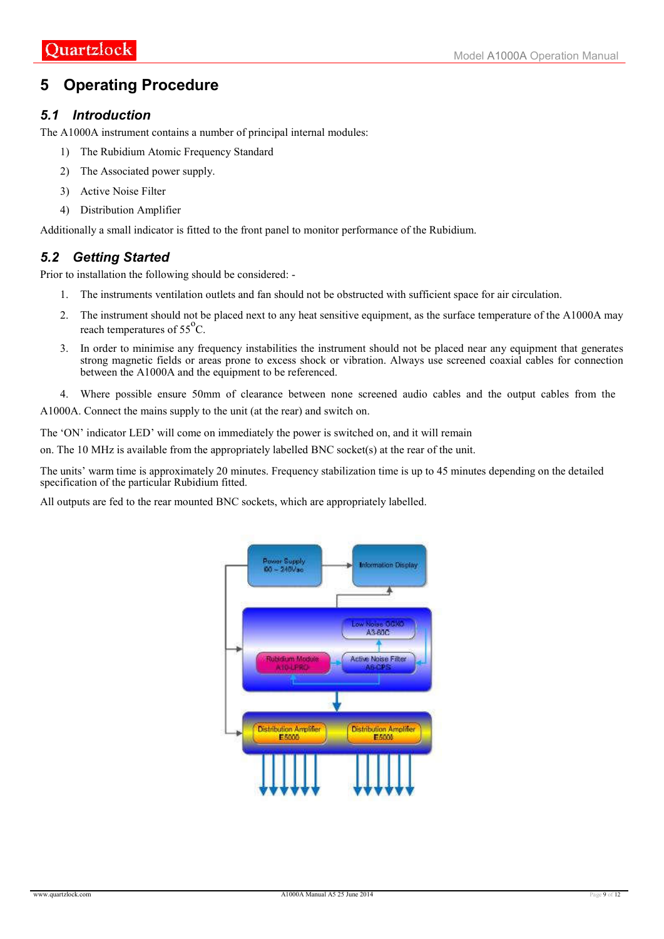## **5 Operating Procedure**

#### *5.1 Introduction*

The A1000A instrument contains a number of principal internal modules:

- 1) The Rubidium Atomic Frequency Standard
- 2) The Associated power supply.
- 3) Active Noise Filter
- 4) Distribution Amplifier

Additionally a small indicator is fitted to the front panel to monitor performance of the Rubidium.

## *5.2 Getting Started*

Prior to installation the following should be considered: -

- 1. The instruments ventilation outlets and fan should not be obstructed with sufficient space for air circulation.
- 2. The instrument should not be placed next to any heat sensitive equipment, as the surface temperature of the A1000A may reach temperatures of  $55^{\circ}$ C.
- 3. In order to minimise any frequency instabilities the instrument should not be placed near any equipment that generates strong magnetic fields or areas prone to excess shock or vibration. Always use screened coaxial cables for connection between the A1000A and the equipment to be referenced.

4. Where possible ensure 50mm of clearance between none screened audio cables and the output cables from the A1000A. Connect the mains supply to the unit (at the rear) and switch on.

The 'ON' indicator LED' will come on immediately the power is switched on, and it will remain

on. The 10 MHz is available from the appropriately labelled BNC socket(s) at the rear of the unit.

The units' warm time is approximately 20 minutes. Frequency stabilization time is up to 45 minutes depending on the detailed specification of the particular Rubidium fitted.

All outputs are fed to the rear mounted BNC sockets, which are appropriately labelled.

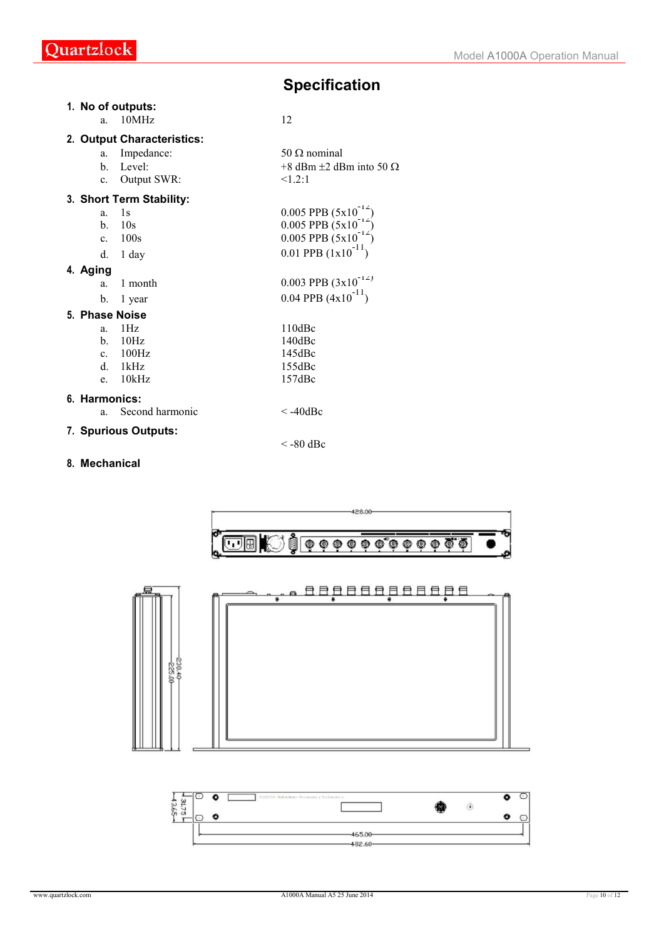# **Specification**

| 1. No of outputs:          |                                       |
|----------------------------|---------------------------------------|
| 10MHz<br>a.                | 12                                    |
| 2. Output Characteristics: |                                       |
| Impedance:<br>a.           | $50 \Omega$ nominal                   |
| Level:<br>$\mathbf{b}$     | $+8$ dBm $\pm 2$ dBm into 50 $\Omega$ |
| Output SWR:<br>$c_{\perp}$ | 1.2:1                                 |
| 3. Short Term Stability:   |                                       |
| 1s<br>a.                   | $0.005$ PPB $(5x10^{-12})$            |
| b. 10s                     | $0.005$ PPB $(Sx10^{-12})$            |
| c. $100s$                  | $0.005$ PPB $(5x10^{-12})$            |
| d.<br>1 day                | 0.01 PPB $(1x10^{-11})$               |
| 4. Aging                   |                                       |
| 1 month<br>a.              | 0.003 PPB $(3x10^{-12})$              |
| $b_{-}$<br>1 year          | 0.04 PPB $(4x10^{-11})$               |
| 5. Phase Noise             |                                       |
| 1Hz<br>$a_{-}$             | 110dBc                                |
| b. 10Hz                    | 140dBc                                |
| c. $100Hz$                 | 145dBc                                |
| d. 1kHz                    | 155dBc                                |
| 10kHz<br>e.                | 157dBc                                |
| 6. Harmonics:              |                                       |
| Second harmonic<br>a.      | $\leq -40$ dBc                        |
| 7. Spurious Outputs:       |                                       |

**8. Mechanical**



 $<$  -80 dBc

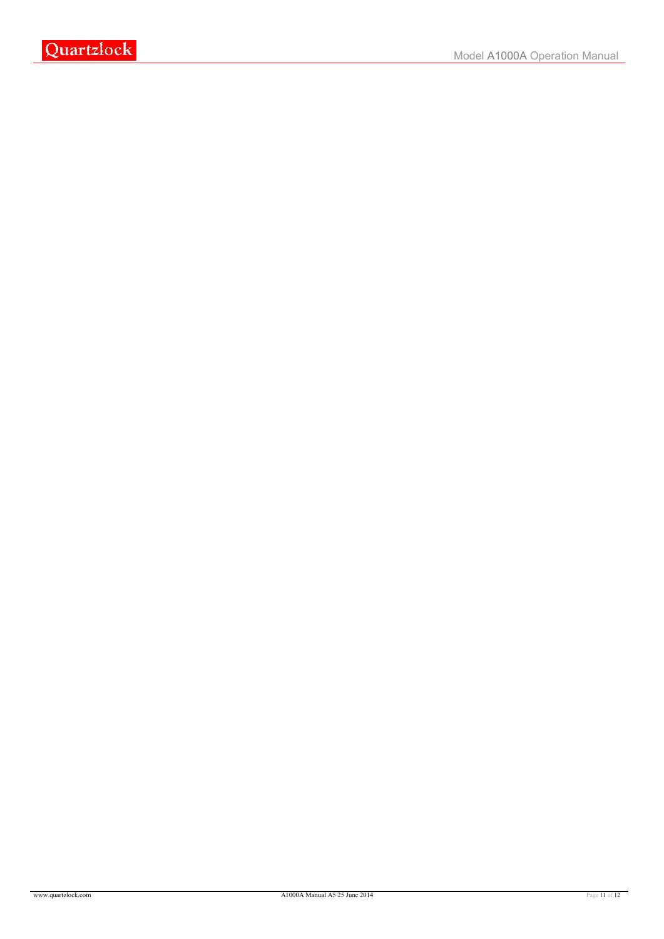